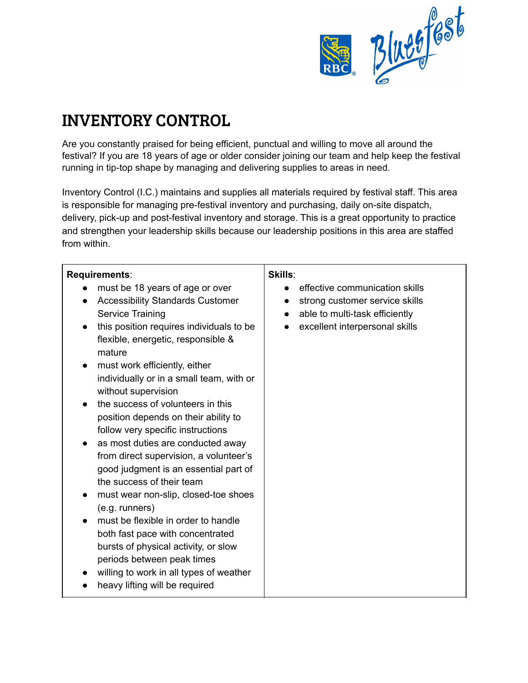

## INVENTORY CONTROL

Are you constantly praised for being efficient, punctual and willing to move all around the festival? If you are 18 years of age or older consider joining our team and help keep the festival running in tip-top shape by managing and delivering supplies to areas in need.

Inventory Control (I.C.) maintains and supplies all materials required by festival staff. This area is responsible for managing pre-festival inventory and purchasing, daily on-site dispatch, delivery, pick-up and post-festival inventory and storage. This is a great opportunity to practice and strengthen your leadership skills because our leadership positions in this area are staffed from within.

| Requirements:                                                                                                                                                                                                                                                                                                                                                                                                                                                                                                                                                                                                                                                                                                                                                                                                                                                                                                                  | Skills:                                                                                                                              |
|--------------------------------------------------------------------------------------------------------------------------------------------------------------------------------------------------------------------------------------------------------------------------------------------------------------------------------------------------------------------------------------------------------------------------------------------------------------------------------------------------------------------------------------------------------------------------------------------------------------------------------------------------------------------------------------------------------------------------------------------------------------------------------------------------------------------------------------------------------------------------------------------------------------------------------|--------------------------------------------------------------------------------------------------------------------------------------|
| must be 18 years of age or over<br><b>Accessibility Standards Customer</b><br>$\bullet$<br>Service Training<br>this position requires individuals to be<br>$\bullet$<br>flexible, energetic, responsible &<br>mature<br>must work efficiently, either<br>$\bullet$<br>individually or in a small team, with or<br>without supervision<br>the success of volunteers in this<br>$\bullet$<br>position depends on their ability to<br>follow very specific instructions<br>as most duties are conducted away<br>$\bullet$<br>from direct supervision, a volunteer's<br>good judgment is an essential part of<br>the success of their team<br>must wear non-slip, closed-toe shoes<br>(e.g. runners)<br>must be flexible in order to handle<br>both fast pace with concentrated<br>bursts of physical activity, or slow<br>periods between peak times<br>willing to work in all types of weather<br>heavy lifting will be required | effective communication skills<br>strong customer service skills<br>able to multi-task efficiently<br>excellent interpersonal skills |